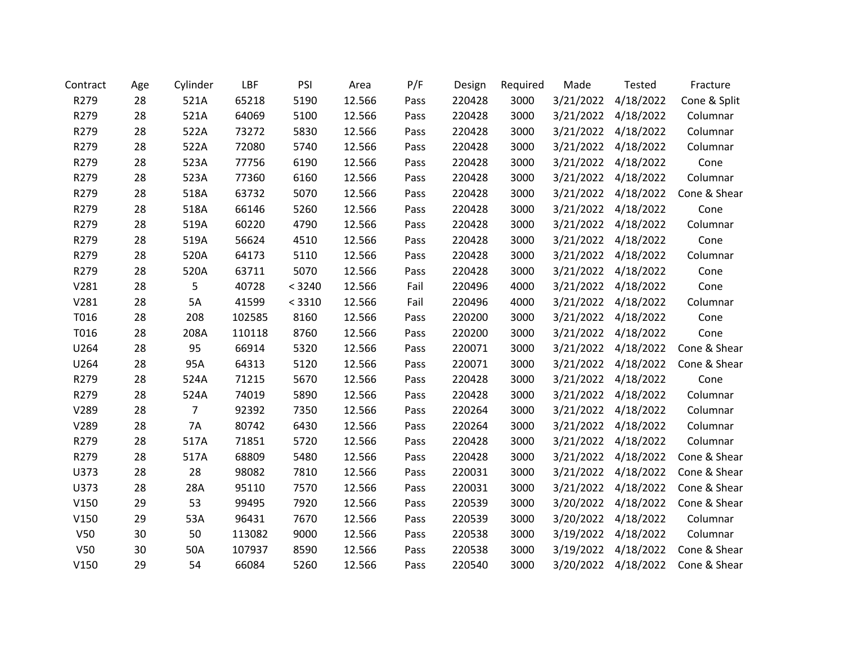| Contract | Age | Cylinder  | LBF    | PSI    | Area   | P/F  | Design | Required | Made      | <b>Tested</b>       | Fracture     |
|----------|-----|-----------|--------|--------|--------|------|--------|----------|-----------|---------------------|--------------|
| R279     | 28  | 521A      | 65218  | 5190   | 12.566 | Pass | 220428 | 3000     | 3/21/2022 | 4/18/2022           | Cone & Split |
| R279     | 28  | 521A      | 64069  | 5100   | 12.566 | Pass | 220428 | 3000     | 3/21/2022 | 4/18/2022           | Columnar     |
| R279     | 28  | 522A      | 73272  | 5830   | 12.566 | Pass | 220428 | 3000     | 3/21/2022 | 4/18/2022           | Columnar     |
| R279     | 28  | 522A      | 72080  | 5740   | 12.566 | Pass | 220428 | 3000     | 3/21/2022 | 4/18/2022           | Columnar     |
| R279     | 28  | 523A      | 77756  | 6190   | 12.566 | Pass | 220428 | 3000     | 3/21/2022 | 4/18/2022           | Cone         |
| R279     | 28  | 523A      | 77360  | 6160   | 12.566 | Pass | 220428 | 3000     | 3/21/2022 | 4/18/2022           | Columnar     |
| R279     | 28  | 518A      | 63732  | 5070   | 12.566 | Pass | 220428 | 3000     | 3/21/2022 | 4/18/2022           | Cone & Shear |
| R279     | 28  | 518A      | 66146  | 5260   | 12.566 | Pass | 220428 | 3000     |           | 3/21/2022 4/18/2022 | Cone         |
| R279     | 28  | 519A      | 60220  | 4790   | 12.566 | Pass | 220428 | 3000     | 3/21/2022 | 4/18/2022           | Columnar     |
| R279     | 28  | 519A      | 56624  | 4510   | 12.566 | Pass | 220428 | 3000     | 3/21/2022 | 4/18/2022           | Cone         |
| R279     | 28  | 520A      | 64173  | 5110   | 12.566 | Pass | 220428 | 3000     | 3/21/2022 | 4/18/2022           | Columnar     |
| R279     | 28  | 520A      | 63711  | 5070   | 12.566 | Pass | 220428 | 3000     | 3/21/2022 | 4/18/2022           | Cone         |
| V281     | 28  | 5         | 40728  | < 3240 | 12.566 | Fail | 220496 | 4000     | 3/21/2022 | 4/18/2022           | Cone         |
| V281     | 28  | 5A        | 41599  | < 3310 | 12.566 | Fail | 220496 | 4000     |           | 3/21/2022 4/18/2022 | Columnar     |
| T016     | 28  | 208       | 102585 | 8160   | 12.566 | Pass | 220200 | 3000     | 3/21/2022 | 4/18/2022           | Cone         |
| T016     | 28  | 208A      | 110118 | 8760   | 12.566 | Pass | 220200 | 3000     | 3/21/2022 | 4/18/2022           | Cone         |
| U264     | 28  | 95        | 66914  | 5320   | 12.566 | Pass | 220071 | 3000     | 3/21/2022 | 4/18/2022           | Cone & Shear |
| U264     | 28  | 95A       | 64313  | 5120   | 12.566 | Pass | 220071 | 3000     | 3/21/2022 | 4/18/2022           | Cone & Shear |
| R279     | 28  | 524A      | 71215  | 5670   | 12.566 | Pass | 220428 | 3000     | 3/21/2022 | 4/18/2022           | Cone         |
| R279     | 28  | 524A      | 74019  | 5890   | 12.566 | Pass | 220428 | 3000     | 3/21/2022 | 4/18/2022           | Columnar     |
| V289     | 28  | 7         | 92392  | 7350   | 12.566 | Pass | 220264 | 3000     | 3/21/2022 | 4/18/2022           | Columnar     |
| V289     | 28  | <b>7A</b> | 80742  | 6430   | 12.566 | Pass | 220264 | 3000     | 3/21/2022 | 4/18/2022           | Columnar     |
| R279     | 28  | 517A      | 71851  | 5720   | 12.566 | Pass | 220428 | 3000     | 3/21/2022 | 4/18/2022           | Columnar     |
| R279     | 28  | 517A      | 68809  | 5480   | 12.566 | Pass | 220428 | 3000     | 3/21/2022 | 4/18/2022           | Cone & Shear |
| U373     | 28  | 28        | 98082  | 7810   | 12.566 | Pass | 220031 | 3000     |           | 3/21/2022 4/18/2022 | Cone & Shear |
| U373     | 28  | 28A       | 95110  | 7570   | 12.566 | Pass | 220031 | 3000     | 3/21/2022 | 4/18/2022           | Cone & Shear |
| V150     | 29  | 53        | 99495  | 7920   | 12.566 | Pass | 220539 | 3000     | 3/20/2022 | 4/18/2022           | Cone & Shear |
| V150     | 29  | 53A       | 96431  | 7670   | 12.566 | Pass | 220539 | 3000     | 3/20/2022 | 4/18/2022           | Columnar     |
| V50      | 30  | 50        | 113082 | 9000   | 12.566 | Pass | 220538 | 3000     | 3/19/2022 | 4/18/2022           | Columnar     |
| V50      | 30  | 50A       | 107937 | 8590   | 12.566 | Pass | 220538 | 3000     | 3/19/2022 | 4/18/2022           | Cone & Shear |
| V150     | 29  | 54        | 66084  | 5260   | 12.566 | Pass | 220540 | 3000     | 3/20/2022 | 4/18/2022           | Cone & Shear |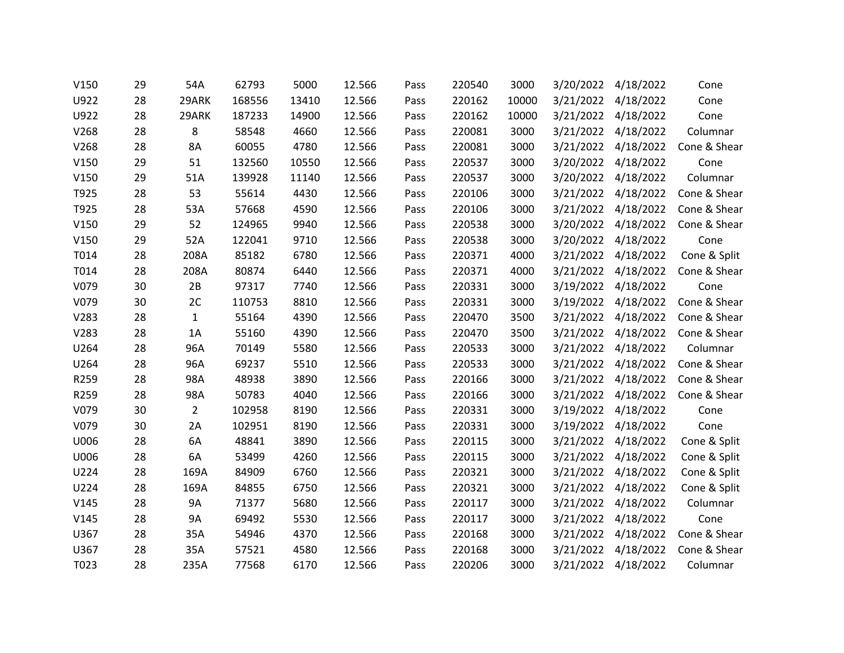| V150 | 29 | 54A            | 62793  | 5000  | 12.566 | Pass | 220540 | 3000  | 3/20/2022 | 4/18/2022           | Cone         |
|------|----|----------------|--------|-------|--------|------|--------|-------|-----------|---------------------|--------------|
| U922 | 28 | 29ARK          | 168556 | 13410 | 12.566 | Pass | 220162 | 10000 | 3/21/2022 | 4/18/2022           | Cone         |
| U922 | 28 | 29ARK          | 187233 | 14900 | 12.566 | Pass | 220162 | 10000 |           | 3/21/2022 4/18/2022 | Cone         |
| V268 | 28 | 8              | 58548  | 4660  | 12.566 | Pass | 220081 | 3000  | 3/21/2022 | 4/18/2022           | Columnar     |
| V268 | 28 | 8A             | 60055  | 4780  | 12.566 | Pass | 220081 | 3000  | 3/21/2022 | 4/18/2022           | Cone & Shear |
| V150 | 29 | 51             | 132560 | 10550 | 12.566 | Pass | 220537 | 3000  | 3/20/2022 | 4/18/2022           | Cone         |
| V150 | 29 | 51A            | 139928 | 11140 | 12.566 | Pass | 220537 | 3000  | 3/20/2022 | 4/18/2022           | Columnar     |
| T925 | 28 | 53             | 55614  | 4430  | 12.566 | Pass | 220106 | 3000  | 3/21/2022 | 4/18/2022           | Cone & Shear |
| T925 | 28 | 53A            | 57668  | 4590  | 12.566 | Pass | 220106 | 3000  | 3/21/2022 | 4/18/2022           | Cone & Shear |
| V150 | 29 | 52             | 124965 | 9940  | 12.566 | Pass | 220538 | 3000  | 3/20/2022 | 4/18/2022           | Cone & Shear |
| V150 | 29 | 52A            | 122041 | 9710  | 12.566 | Pass | 220538 | 3000  | 3/20/2022 | 4/18/2022           | Cone         |
| T014 | 28 | 208A           | 85182  | 6780  | 12.566 | Pass | 220371 | 4000  | 3/21/2022 | 4/18/2022           | Cone & Split |
| T014 | 28 | 208A           | 80874  | 6440  | 12.566 | Pass | 220371 | 4000  | 3/21/2022 | 4/18/2022           | Cone & Shear |
| V079 | 30 | 2B             | 97317  | 7740  | 12.566 | Pass | 220331 | 3000  | 3/19/2022 | 4/18/2022           | Cone         |
| V079 | 30 | 2C             | 110753 | 8810  | 12.566 | Pass | 220331 | 3000  | 3/19/2022 | 4/18/2022           | Cone & Shear |
| V283 | 28 | $\mathbf{1}$   | 55164  | 4390  | 12.566 | Pass | 220470 | 3500  | 3/21/2022 | 4/18/2022           | Cone & Shear |
| V283 | 28 | 1A             | 55160  | 4390  | 12.566 | Pass | 220470 | 3500  | 3/21/2022 | 4/18/2022           | Cone & Shear |
| U264 | 28 | 96A            | 70149  | 5580  | 12.566 | Pass | 220533 | 3000  | 3/21/2022 | 4/18/2022           | Columnar     |
| U264 | 28 | 96A            | 69237  | 5510  | 12.566 | Pass | 220533 | 3000  | 3/21/2022 | 4/18/2022           | Cone & Shear |
| R259 | 28 | 98A            | 48938  | 3890  | 12.566 | Pass | 220166 | 3000  |           | 3/21/2022 4/18/2022 | Cone & Shear |
| R259 | 28 | 98A            | 50783  | 4040  | 12.566 | Pass | 220166 | 3000  | 3/21/2022 | 4/18/2022           | Cone & Shear |
| V079 | 30 | $\overline{2}$ | 102958 | 8190  | 12.566 | Pass | 220331 | 3000  | 3/19/2022 | 4/18/2022           | Cone         |
| V079 | 30 | 2A             | 102951 | 8190  | 12.566 | Pass | 220331 | 3000  |           | 3/19/2022 4/18/2022 | Cone         |
| U006 | 28 | 6A             | 48841  | 3890  | 12.566 | Pass | 220115 | 3000  | 3/21/2022 | 4/18/2022           | Cone & Split |
| U006 | 28 | 6A             | 53499  | 4260  | 12.566 | Pass | 220115 | 3000  | 3/21/2022 | 4/18/2022           | Cone & Split |
| U224 | 28 | 169A           | 84909  | 6760  | 12.566 | Pass | 220321 | 3000  |           | 3/21/2022 4/18/2022 | Cone & Split |
| U224 | 28 | 169A           | 84855  | 6750  | 12.566 | Pass | 220321 | 3000  | 3/21/2022 | 4/18/2022           | Cone & Split |
| V145 | 28 | <b>9A</b>      | 71377  | 5680  | 12.566 | Pass | 220117 | 3000  | 3/21/2022 | 4/18/2022           | Columnar     |
| V145 | 28 | 9A             | 69492  | 5530  | 12.566 | Pass | 220117 | 3000  | 3/21/2022 | 4/18/2022           | Cone         |
| U367 | 28 | 35A            | 54946  | 4370  | 12.566 | Pass | 220168 | 3000  | 3/21/2022 | 4/18/2022           | Cone & Shear |
| U367 | 28 | 35A            | 57521  | 4580  | 12.566 | Pass | 220168 | 3000  | 3/21/2022 | 4/18/2022           | Cone & Shear |
| T023 | 28 | 235A           | 77568  | 6170  | 12.566 | Pass | 220206 | 3000  | 3/21/2022 | 4/18/2022           | Columnar     |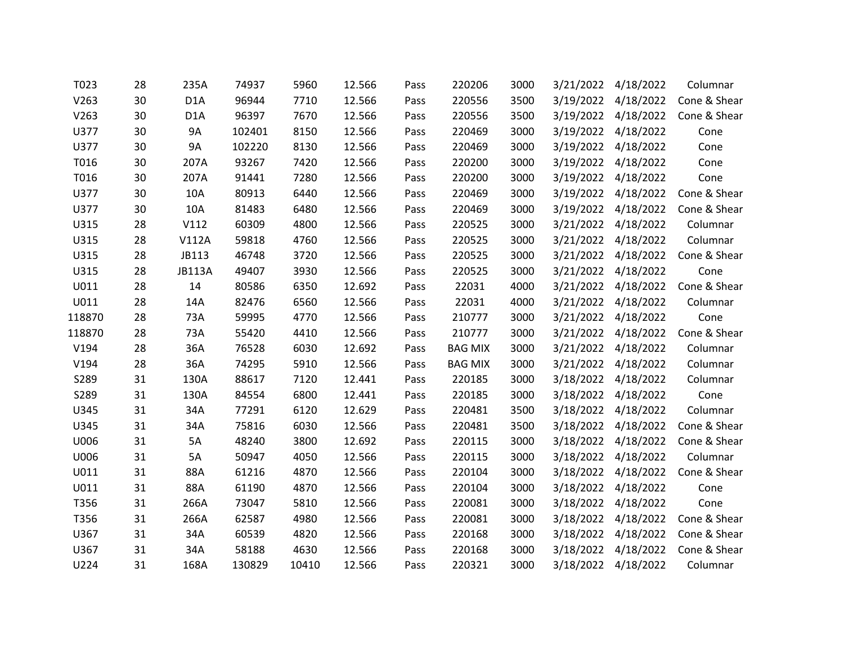| T023   | 28 | 235A             | 74937  | 5960  | 12.566 | Pass | 220206         | 3000 | 3/21/2022 | 4/18/2022           | Columnar     |
|--------|----|------------------|--------|-------|--------|------|----------------|------|-----------|---------------------|--------------|
| V263   | 30 | D <sub>1</sub> A | 96944  | 7710  | 12.566 | Pass | 220556         | 3500 | 3/19/2022 | 4/18/2022           | Cone & Shear |
| V263   | 30 | D <sub>1</sub> A | 96397  | 7670  | 12.566 | Pass | 220556         | 3500 |           | 3/19/2022 4/18/2022 | Cone & Shear |
| U377   | 30 | 9A               | 102401 | 8150  | 12.566 | Pass | 220469         | 3000 | 3/19/2022 | 4/18/2022           | Cone         |
| U377   | 30 | 9A               | 102220 | 8130  | 12.566 | Pass | 220469         | 3000 | 3/19/2022 | 4/18/2022           | Cone         |
| T016   | 30 | 207A             | 93267  | 7420  | 12.566 | Pass | 220200         | 3000 |           | 3/19/2022 4/18/2022 | Cone         |
| T016   | 30 | 207A             | 91441  | 7280  | 12.566 | Pass | 220200         | 3000 | 3/19/2022 | 4/18/2022           | Cone         |
| U377   | 30 | 10A              | 80913  | 6440  | 12.566 | Pass | 220469         | 3000 | 3/19/2022 | 4/18/2022           | Cone & Shear |
| U377   | 30 | 10A              | 81483  | 6480  | 12.566 | Pass | 220469         | 3000 |           | 3/19/2022 4/18/2022 | Cone & Shear |
| U315   | 28 | V112             | 60309  | 4800  | 12.566 | Pass | 220525         | 3000 | 3/21/2022 | 4/18/2022           | Columnar     |
| U315   | 28 | <b>V112A</b>     | 59818  | 4760  | 12.566 | Pass | 220525         | 3000 | 3/21/2022 | 4/18/2022           | Columnar     |
| U315   | 28 | JB113            | 46748  | 3720  | 12.566 | Pass | 220525         | 3000 |           | 3/21/2022 4/18/2022 | Cone & Shear |
| U315   | 28 | <b>JB113A</b>    | 49407  | 3930  | 12.566 | Pass | 220525         | 3000 | 3/21/2022 | 4/18/2022           | Cone         |
| U011   | 28 | 14               | 80586  | 6350  | 12.692 | Pass | 22031          | 4000 |           | 3/21/2022 4/18/2022 | Cone & Shear |
| U011   | 28 | 14A              | 82476  | 6560  | 12.566 | Pass | 22031          | 4000 | 3/21/2022 | 4/18/2022           | Columnar     |
| 118870 | 28 | 73A              | 59995  | 4770  | 12.566 | Pass | 210777         | 3000 | 3/21/2022 | 4/18/2022           | Cone         |
| 118870 | 28 | 73A              | 55420  | 4410  | 12.566 | Pass | 210777         | 3000 | 3/21/2022 | 4/18/2022           | Cone & Shear |
| V194   | 28 | 36A              | 76528  | 6030  | 12.692 | Pass | <b>BAG MIX</b> | 3000 |           | 3/21/2022 4/18/2022 | Columnar     |
| V194   | 28 | 36A              | 74295  | 5910  | 12.566 | Pass | <b>BAG MIX</b> | 3000 | 3/21/2022 | 4/18/2022           | Columnar     |
| S289   | 31 | 130A             | 88617  | 7120  | 12.441 | Pass | 220185         | 3000 |           | 3/18/2022 4/18/2022 | Columnar     |
| S289   | 31 | 130A             | 84554  | 6800  | 12.441 | Pass | 220185         | 3000 |           | 3/18/2022 4/18/2022 | Cone         |
| U345   | 31 | 34A              | 77291  | 6120  | 12.629 | Pass | 220481         | 3500 | 3/18/2022 | 4/18/2022           | Columnar     |
| U345   | 31 | 34A              | 75816  | 6030  | 12.566 | Pass | 220481         | 3500 |           | 3/18/2022 4/18/2022 | Cone & Shear |
| U006   | 31 | 5A               | 48240  | 3800  | 12.692 | Pass | 220115         | 3000 | 3/18/2022 | 4/18/2022           | Cone & Shear |
| U006   | 31 | 5A               | 50947  | 4050  | 12.566 | Pass | 220115         | 3000 | 3/18/2022 | 4/18/2022           | Columnar     |
| U011   | 31 | 88A              | 61216  | 4870  | 12.566 | Pass | 220104         | 3000 |           | 3/18/2022 4/18/2022 | Cone & Shear |
| U011   | 31 | 88A              | 61190  | 4870  | 12.566 | Pass | 220104         | 3000 | 3/18/2022 | 4/18/2022           | Cone         |
| T356   | 31 | 266A             | 73047  | 5810  | 12.566 | Pass | 220081         | 3000 | 3/18/2022 | 4/18/2022           | Cone         |
| T356   | 31 | 266A             | 62587  | 4980  | 12.566 | Pass | 220081         | 3000 | 3/18/2022 | 4/18/2022           | Cone & Shear |
| U367   | 31 | 34A              | 60539  | 4820  | 12.566 | Pass | 220168         | 3000 | 3/18/2022 | 4/18/2022           | Cone & Shear |
| U367   | 31 | 34A              | 58188  | 4630  | 12.566 | Pass | 220168         | 3000 | 3/18/2022 | 4/18/2022           | Cone & Shear |
| U224   | 31 | 168A             | 130829 | 10410 | 12.566 | Pass | 220321         | 3000 | 3/18/2022 | 4/18/2022           | Columnar     |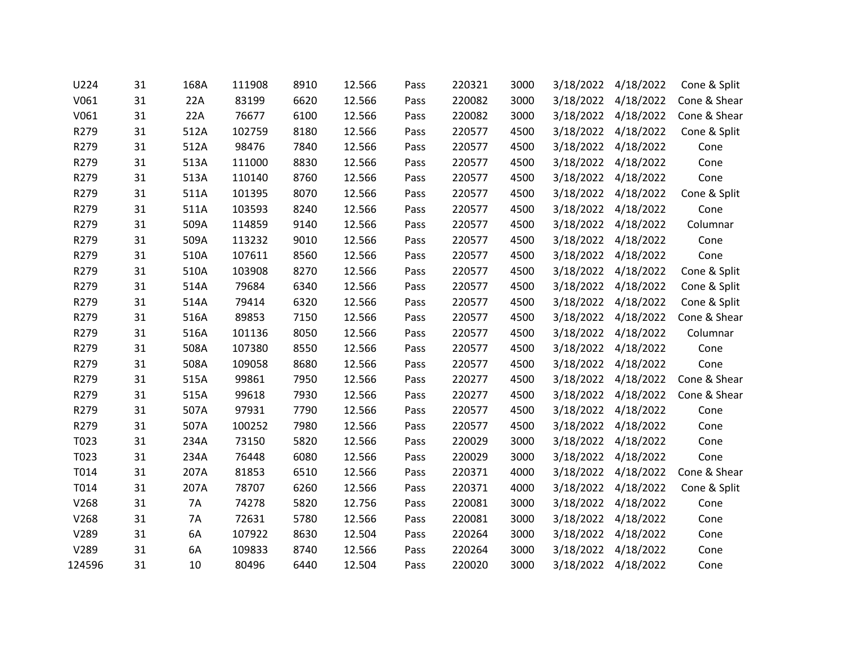| U224   | 31 | 168A | 111908 | 8910 | 12.566 | Pass | 220321 | 3000 | 3/18/2022 | 4/18/2022           | Cone & Split |
|--------|----|------|--------|------|--------|------|--------|------|-----------|---------------------|--------------|
| V061   | 31 | 22A  | 83199  | 6620 | 12.566 | Pass | 220082 | 3000 | 3/18/2022 | 4/18/2022           | Cone & Shear |
| V061   | 31 | 22A  | 76677  | 6100 | 12.566 | Pass | 220082 | 3000 |           | 3/18/2022 4/18/2022 | Cone & Shear |
| R279   | 31 | 512A | 102759 | 8180 | 12.566 | Pass | 220577 | 4500 | 3/18/2022 | 4/18/2022           | Cone & Split |
| R279   | 31 | 512A | 98476  | 7840 | 12.566 | Pass | 220577 | 4500 | 3/18/2022 | 4/18/2022           | Cone         |
| R279   | 31 | 513A | 111000 | 8830 | 12.566 | Pass | 220577 | 4500 |           | 3/18/2022 4/18/2022 | Cone         |
| R279   | 31 | 513A | 110140 | 8760 | 12.566 | Pass | 220577 | 4500 | 3/18/2022 | 4/18/2022           | Cone         |
| R279   | 31 | 511A | 101395 | 8070 | 12.566 | Pass | 220577 | 4500 | 3/18/2022 | 4/18/2022           | Cone & Split |
| R279   | 31 | 511A | 103593 | 8240 | 12.566 | Pass | 220577 | 4500 |           | 3/18/2022 4/18/2022 | Cone         |
| R279   | 31 | 509A | 114859 | 9140 | 12.566 | Pass | 220577 | 4500 | 3/18/2022 | 4/18/2022           | Columnar     |
| R279   | 31 | 509A | 113232 | 9010 | 12.566 | Pass | 220577 | 4500 | 3/18/2022 | 4/18/2022           | Cone         |
| R279   | 31 | 510A | 107611 | 8560 | 12.566 | Pass | 220577 | 4500 |           | 3/18/2022 4/18/2022 | Cone         |
| R279   | 31 | 510A | 103908 | 8270 | 12.566 | Pass | 220577 | 4500 | 3/18/2022 | 4/18/2022           | Cone & Split |
| R279   | 31 | 514A | 79684  | 6340 | 12.566 | Pass | 220577 | 4500 | 3/18/2022 | 4/18/2022           | Cone & Split |
| R279   | 31 | 514A | 79414  | 6320 | 12.566 | Pass | 220577 | 4500 |           | 3/18/2022 4/18/2022 | Cone & Split |
| R279   | 31 | 516A | 89853  | 7150 | 12.566 | Pass | 220577 | 4500 | 3/18/2022 | 4/18/2022           | Cone & Shear |
| R279   | 31 | 516A | 101136 | 8050 | 12.566 | Pass | 220577 | 4500 | 3/18/2022 | 4/18/2022           | Columnar     |
| R279   | 31 | 508A | 107380 | 8550 | 12.566 | Pass | 220577 | 4500 | 3/18/2022 | 4/18/2022           | Cone         |
| R279   | 31 | 508A | 109058 | 8680 | 12.566 | Pass | 220577 | 4500 | 3/18/2022 | 4/18/2022           | Cone         |
| R279   | 31 | 515A | 99861  | 7950 | 12.566 | Pass | 220277 | 4500 |           | 3/18/2022 4/18/2022 | Cone & Shear |
| R279   | 31 | 515A | 99618  | 7930 | 12.566 | Pass | 220277 | 4500 | 3/18/2022 | 4/18/2022           | Cone & Shear |
| R279   | 31 | 507A | 97931  | 7790 | 12.566 | Pass | 220577 | 4500 | 3/18/2022 | 4/18/2022           | Cone         |
| R279   | 31 | 507A | 100252 | 7980 | 12.566 | Pass | 220577 | 4500 |           | 3/18/2022 4/18/2022 | Cone         |
| T023   | 31 | 234A | 73150  | 5820 | 12.566 | Pass | 220029 | 3000 | 3/18/2022 | 4/18/2022           | Cone         |
| T023   | 31 | 234A | 76448  | 6080 | 12.566 | Pass | 220029 | 3000 | 3/18/2022 | 4/18/2022           | Cone         |
| T014   | 31 | 207A | 81853  | 6510 | 12.566 | Pass | 220371 | 4000 |           | 3/18/2022 4/18/2022 | Cone & Shear |
| T014   | 31 | 207A | 78707  | 6260 | 12.566 | Pass | 220371 | 4000 | 3/18/2022 | 4/18/2022           | Cone & Split |
| V268   | 31 | 7A   | 74278  | 5820 | 12.756 | Pass | 220081 | 3000 | 3/18/2022 | 4/18/2022           | Cone         |
| V268   | 31 | 7A   | 72631  | 5780 | 12.566 | Pass | 220081 | 3000 |           | 3/18/2022 4/18/2022 | Cone         |
| V289   | 31 | 6A   | 107922 | 8630 | 12.504 | Pass | 220264 | 3000 | 3/18/2022 | 4/18/2022           | Cone         |
| V289   | 31 | 6A   | 109833 | 8740 | 12.566 | Pass | 220264 | 3000 | 3/18/2022 | 4/18/2022           | Cone         |
| 124596 | 31 | 10   | 80496  | 6440 | 12.504 | Pass | 220020 | 3000 | 3/18/2022 | 4/18/2022           | Cone         |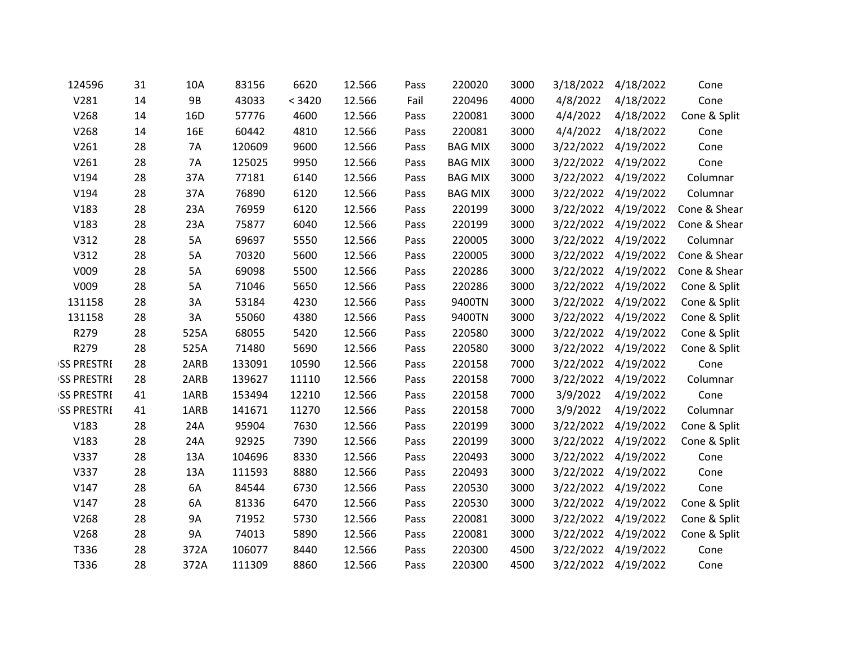| 124596             | 31 | 10A       | 83156  | 6620   | 12.566 | Pass | 220020         | 3000 | 3/18/2022 | 4/18/2022 | Cone         |
|--------------------|----|-----------|--------|--------|--------|------|----------------|------|-----------|-----------|--------------|
| V281               | 14 | <b>9B</b> | 43033  | < 3420 | 12.566 | Fail | 220496         | 4000 | 4/8/2022  | 4/18/2022 | Cone         |
| V268               | 14 | 16D       | 57776  | 4600   | 12.566 | Pass | 220081         | 3000 | 4/4/2022  | 4/18/2022 | Cone & Split |
| V268               | 14 | 16E       | 60442  | 4810   | 12.566 | Pass | 220081         | 3000 | 4/4/2022  | 4/18/2022 | Cone         |
| V261               | 28 | 7A        | 120609 | 9600   | 12.566 | Pass | <b>BAG MIX</b> | 3000 | 3/22/2022 | 4/19/2022 | Cone         |
| V261               | 28 | 7A        | 125025 | 9950   | 12.566 | Pass | <b>BAG MIX</b> | 3000 | 3/22/2022 | 4/19/2022 | Cone         |
| V194               | 28 | 37A       | 77181  | 6140   | 12.566 | Pass | <b>BAG MIX</b> | 3000 | 3/22/2022 | 4/19/2022 | Columnar     |
| V194               | 28 | 37A       | 76890  | 6120   | 12.566 | Pass | <b>BAG MIX</b> | 3000 | 3/22/2022 | 4/19/2022 | Columnar     |
| V183               | 28 | 23A       | 76959  | 6120   | 12.566 | Pass | 220199         | 3000 | 3/22/2022 | 4/19/2022 | Cone & Shear |
| V183               | 28 | 23A       | 75877  | 6040   | 12.566 | Pass | 220199         | 3000 | 3/22/2022 | 4/19/2022 | Cone & Shear |
| V312               | 28 | 5A        | 69697  | 5550   | 12.566 | Pass | 220005         | 3000 | 3/22/2022 | 4/19/2022 | Columnar     |
| V312               | 28 | 5A        | 70320  | 5600   | 12.566 | Pass | 220005         | 3000 | 3/22/2022 | 4/19/2022 | Cone & Shear |
| V009               | 28 | 5A        | 69098  | 5500   | 12.566 | Pass | 220286         | 3000 | 3/22/2022 | 4/19/2022 | Cone & Shear |
| V009               | 28 | 5A        | 71046  | 5650   | 12.566 | Pass | 220286         | 3000 | 3/22/2022 | 4/19/2022 | Cone & Split |
| 131158             | 28 | 3A        | 53184  | 4230   | 12.566 | Pass | 9400TN         | 3000 | 3/22/2022 | 4/19/2022 | Cone & Split |
| 131158             | 28 | 3A        | 55060  | 4380   | 12.566 | Pass | 9400TN         | 3000 | 3/22/2022 | 4/19/2022 | Cone & Split |
| R279               | 28 | 525A      | 68055  | 5420   | 12.566 | Pass | 220580         | 3000 | 3/22/2022 | 4/19/2022 | Cone & Split |
| R279               | 28 | 525A      | 71480  | 5690   | 12.566 | Pass | 220580         | 3000 | 3/22/2022 | 4/19/2022 | Cone & Split |
| <b>ISS PRESTRE</b> | 28 | 2ARB      | 133091 | 10590  | 12.566 | Pass | 220158         | 7000 | 3/22/2022 | 4/19/2022 | Cone         |
| <b>ISS PRESTRE</b> | 28 | 2ARB      | 139627 | 11110  | 12.566 | Pass | 220158         | 7000 | 3/22/2022 | 4/19/2022 | Columnar     |
| <b>ISS PRESTRE</b> | 41 | 1ARB      | 153494 | 12210  | 12.566 | Pass | 220158         | 7000 | 3/9/2022  | 4/19/2022 | Cone         |
| <b>ISS PRESTRE</b> | 41 | 1ARB      | 141671 | 11270  | 12.566 | Pass | 220158         | 7000 | 3/9/2022  | 4/19/2022 | Columnar     |
| V183               | 28 | 24A       | 95904  | 7630   | 12.566 | Pass | 220199         | 3000 | 3/22/2022 | 4/19/2022 | Cone & Split |
| V183               | 28 | 24A       | 92925  | 7390   | 12.566 | Pass | 220199         | 3000 | 3/22/2022 | 4/19/2022 | Cone & Split |
| V337               | 28 | 13A       | 104696 | 8330   | 12.566 | Pass | 220493         | 3000 | 3/22/2022 | 4/19/2022 | Cone         |
| V337               | 28 | 13A       | 111593 | 8880   | 12.566 | Pass | 220493         | 3000 | 3/22/2022 | 4/19/2022 | Cone         |
| V147               | 28 | 6A        | 84544  | 6730   | 12.566 | Pass | 220530         | 3000 | 3/22/2022 | 4/19/2022 | Cone         |
| V147               | 28 | 6A        | 81336  | 6470   | 12.566 | Pass | 220530         | 3000 | 3/22/2022 | 4/19/2022 | Cone & Split |
| V268               | 28 | 9A        | 71952  | 5730   | 12.566 | Pass | 220081         | 3000 | 3/22/2022 | 4/19/2022 | Cone & Split |
| V268               | 28 | 9A        | 74013  | 5890   | 12.566 | Pass | 220081         | 3000 | 3/22/2022 | 4/19/2022 | Cone & Split |
| T336               | 28 | 372A      | 106077 | 8440   | 12.566 | Pass | 220300         | 4500 | 3/22/2022 | 4/19/2022 | Cone         |
| T336               | 28 | 372A      | 111309 | 8860   | 12.566 | Pass | 220300         | 4500 | 3/22/2022 | 4/19/2022 | Cone         |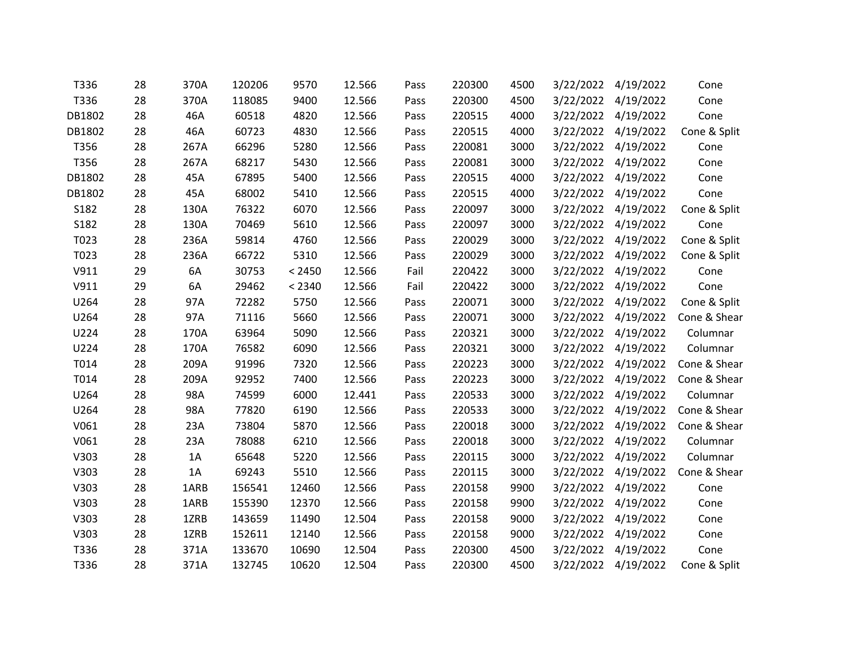| T336   | 28 | 370A | 120206 | 9570   | 12.566 | Pass | 220300 | 4500 | 3/22/2022 | 4/19/2022           | Cone         |
|--------|----|------|--------|--------|--------|------|--------|------|-----------|---------------------|--------------|
| T336   | 28 | 370A | 118085 | 9400   | 12.566 | Pass | 220300 | 4500 | 3/22/2022 | 4/19/2022           | Cone         |
| DB1802 | 28 | 46A  | 60518  | 4820   | 12.566 | Pass | 220515 | 4000 |           | 3/22/2022 4/19/2022 | Cone         |
| DB1802 | 28 | 46A  | 60723  | 4830   | 12.566 | Pass | 220515 | 4000 | 3/22/2022 | 4/19/2022           | Cone & Split |
| T356   | 28 | 267A | 66296  | 5280   | 12.566 | Pass | 220081 | 3000 | 3/22/2022 | 4/19/2022           | Cone         |
| T356   | 28 | 267A | 68217  | 5430   | 12.566 | Pass | 220081 | 3000 |           | 3/22/2022 4/19/2022 | Cone         |
| DB1802 | 28 | 45A  | 67895  | 5400   | 12.566 | Pass | 220515 | 4000 | 3/22/2022 | 4/19/2022           | Cone         |
| DB1802 | 28 | 45A  | 68002  | 5410   | 12.566 | Pass | 220515 | 4000 | 3/22/2022 | 4/19/2022           | Cone         |
| S182   | 28 | 130A | 76322  | 6070   | 12.566 | Pass | 220097 | 3000 |           | 3/22/2022 4/19/2022 | Cone & Split |
| S182   | 28 | 130A | 70469  | 5610   | 12.566 | Pass | 220097 | 3000 | 3/22/2022 | 4/19/2022           | Cone         |
| T023   | 28 | 236A | 59814  | 4760   | 12.566 | Pass | 220029 | 3000 | 3/22/2022 | 4/19/2022           | Cone & Split |
| T023   | 28 | 236A | 66722  | 5310   | 12.566 | Pass | 220029 | 3000 |           | 3/22/2022 4/19/2022 | Cone & Split |
| V911   | 29 | 6A   | 30753  | < 2450 | 12.566 | Fail | 220422 | 3000 | 3/22/2022 | 4/19/2022           | Cone         |
| V911   | 29 | 6A   | 29462  | < 2340 | 12.566 | Fail | 220422 | 3000 | 3/22/2022 | 4/19/2022           | Cone         |
| U264   | 28 | 97A  | 72282  | 5750   | 12.566 | Pass | 220071 | 3000 |           | 3/22/2022 4/19/2022 | Cone & Split |
| U264   | 28 | 97A  | 71116  | 5660   | 12.566 | Pass | 220071 | 3000 | 3/22/2022 | 4/19/2022           | Cone & Shear |
| U224   | 28 | 170A | 63964  | 5090   | 12.566 | Pass | 220321 | 3000 | 3/22/2022 | 4/19/2022           | Columnar     |
| U224   | 28 | 170A | 76582  | 6090   | 12.566 | Pass | 220321 | 3000 | 3/22/2022 | 4/19/2022           | Columnar     |
| T014   | 28 | 209A | 91996  | 7320   | 12.566 | Pass | 220223 | 3000 | 3/22/2022 | 4/19/2022           | Cone & Shear |
| T014   | 28 | 209A | 92952  | 7400   | 12.566 | Pass | 220223 | 3000 |           | 3/22/2022 4/19/2022 | Cone & Shear |
| U264   | 28 | 98A  | 74599  | 6000   | 12.441 | Pass | 220533 | 3000 | 3/22/2022 | 4/19/2022           | Columnar     |
| U264   | 28 | 98A  | 77820  | 6190   | 12.566 | Pass | 220533 | 3000 | 3/22/2022 | 4/19/2022           | Cone & Shear |
| V061   | 28 | 23A  | 73804  | 5870   | 12.566 | Pass | 220018 | 3000 |           | 3/22/2022 4/19/2022 | Cone & Shear |
| V061   | 28 | 23A  | 78088  | 6210   | 12.566 | Pass | 220018 | 3000 | 3/22/2022 | 4/19/2022           | Columnar     |
| V303   | 28 | 1A   | 65648  | 5220   | 12.566 | Pass | 220115 | 3000 | 3/22/2022 | 4/19/2022           | Columnar     |
| V303   | 28 | 1A   | 69243  | 5510   | 12.566 | Pass | 220115 | 3000 |           | 3/22/2022 4/19/2022 | Cone & Shear |
| V303   | 28 | 1ARB | 156541 | 12460  | 12.566 | Pass | 220158 | 9900 | 3/22/2022 | 4/19/2022           | Cone         |
| V303   | 28 | 1ARB | 155390 | 12370  | 12.566 | Pass | 220158 | 9900 | 3/22/2022 | 4/19/2022           | Cone         |
| V303   | 28 | 1ZRB | 143659 | 11490  | 12.504 | Pass | 220158 | 9000 | 3/22/2022 | 4/19/2022           | Cone         |
| V303   | 28 | 1ZRB | 152611 | 12140  | 12.566 | Pass | 220158 | 9000 | 3/22/2022 | 4/19/2022           | Cone         |
| T336   | 28 | 371A | 133670 | 10690  | 12.504 | Pass | 220300 | 4500 | 3/22/2022 | 4/19/2022           | Cone         |
| T336   | 28 | 371A | 132745 | 10620  | 12.504 | Pass | 220300 | 4500 | 3/22/2022 | 4/19/2022           | Cone & Split |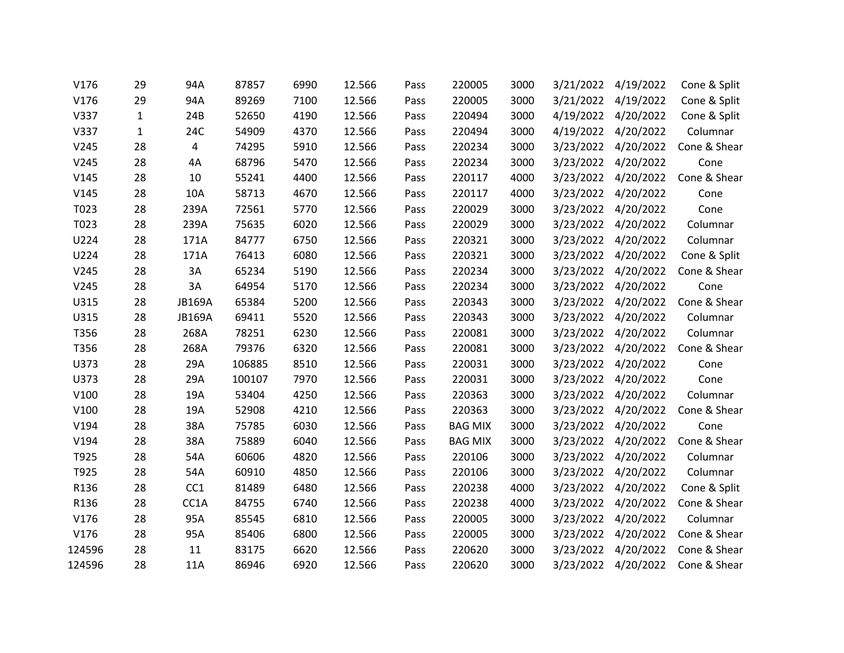| V176   | 29           | 94A             | 87857  | 6990 | 12.566 | Pass | 220005         | 3000 | 3/21/2022 | 4/19/2022           | Cone & Split |
|--------|--------------|-----------------|--------|------|--------|------|----------------|------|-----------|---------------------|--------------|
| V176   | 29           | 94A             | 89269  | 7100 | 12.566 | Pass | 220005         | 3000 | 3/21/2022 | 4/19/2022           | Cone & Split |
| V337   | $\mathbf 1$  | 24B             | 52650  | 4190 | 12.566 | Pass | 220494         | 3000 |           | 4/19/2022 4/20/2022 | Cone & Split |
| V337   | $\mathbf{1}$ | 24C             | 54909  | 4370 | 12.566 | Pass | 220494         | 3000 | 4/19/2022 | 4/20/2022           | Columnar     |
| V245   | 28           | 4               | 74295  | 5910 | 12.566 | Pass | 220234         | 3000 | 3/23/2022 | 4/20/2022           | Cone & Shear |
| V245   | 28           | 4A              | 68796  | 5470 | 12.566 | Pass | 220234         | 3000 | 3/23/2022 | 4/20/2022           | Cone         |
| V145   | 28           | 10              | 55241  | 4400 | 12.566 | Pass | 220117         | 4000 | 3/23/2022 | 4/20/2022           | Cone & Shear |
| V145   | 28           | 10A             | 58713  | 4670 | 12.566 | Pass | 220117         | 4000 | 3/23/2022 | 4/20/2022           | Cone         |
| T023   | 28           | 239A            | 72561  | 5770 | 12.566 | Pass | 220029         | 3000 | 3/23/2022 | 4/20/2022           | Cone         |
| T023   | 28           | 239A            | 75635  | 6020 | 12.566 | Pass | 220029         | 3000 | 3/23/2022 | 4/20/2022           | Columnar     |
| U224   | 28           | 171A            | 84777  | 6750 | 12.566 | Pass | 220321         | 3000 | 3/23/2022 | 4/20/2022           | Columnar     |
| U224   | 28           | 171A            | 76413  | 6080 | 12.566 | Pass | 220321         | 3000 | 3/23/2022 | 4/20/2022           | Cone & Split |
| V245   | 28           | 3A              | 65234  | 5190 | 12.566 | Pass | 220234         | 3000 | 3/23/2022 | 4/20/2022           | Cone & Shear |
| V245   | 28           | 3A              | 64954  | 5170 | 12.566 | Pass | 220234         | 3000 |           | 3/23/2022 4/20/2022 | Cone         |
| U315   | 28           | JB169A          | 65384  | 5200 | 12.566 | Pass | 220343         | 3000 | 3/23/2022 | 4/20/2022           | Cone & Shear |
| U315   | 28           | JB169A          | 69411  | 5520 | 12.566 | Pass | 220343         | 3000 | 3/23/2022 | 4/20/2022           | Columnar     |
| T356   | 28           | 268A            | 78251  | 6230 | 12.566 | Pass | 220081         | 3000 |           | 3/23/2022 4/20/2022 | Columnar     |
| T356   | 28           | 268A            | 79376  | 6320 | 12.566 | Pass | 220081         | 3000 | 3/23/2022 | 4/20/2022           | Cone & Shear |
| U373   | 28           | 29A             | 106885 | 8510 | 12.566 | Pass | 220031         | 3000 | 3/23/2022 | 4/20/2022           | Cone         |
| U373   | 28           | 29A             | 100107 | 7970 | 12.566 | Pass | 220031         | 3000 |           | 3/23/2022 4/20/2022 | Cone         |
| V100   | 28           | 19A             | 53404  | 4250 | 12.566 | Pass | 220363         | 3000 | 3/23/2022 | 4/20/2022           | Columnar     |
| V100   | 28           | 19A             | 52908  | 4210 | 12.566 | Pass | 220363         | 3000 | 3/23/2022 | 4/20/2022           | Cone & Shear |
| V194   | 28           | 38A             | 75785  | 6030 | 12.566 | Pass | <b>BAG MIX</b> | 3000 | 3/23/2022 | 4/20/2022           | Cone         |
| V194   | 28           | 38A             | 75889  | 6040 | 12.566 | Pass | <b>BAG MIX</b> | 3000 | 3/23/2022 | 4/20/2022           | Cone & Shear |
| T925   | 28           | 54A             | 60606  | 4820 | 12.566 | Pass | 220106         | 3000 | 3/23/2022 | 4/20/2022           | Columnar     |
| T925   | 28           | 54A             | 60910  | 4850 | 12.566 | Pass | 220106         | 3000 |           | 3/23/2022 4/20/2022 | Columnar     |
| R136   | 28           | CC <sub>1</sub> | 81489  | 6480 | 12.566 | Pass | 220238         | 4000 | 3/23/2022 | 4/20/2022           | Cone & Split |
| R136   | 28           | CC1A            | 84755  | 6740 | 12.566 | Pass | 220238         | 4000 | 3/23/2022 | 4/20/2022           | Cone & Shear |
| V176   | 28           | 95A             | 85545  | 6810 | 12.566 | Pass | 220005         | 3000 | 3/23/2022 | 4/20/2022           | Columnar     |
| V176   | 28           | 95A             | 85406  | 6800 | 12.566 | Pass | 220005         | 3000 | 3/23/2022 | 4/20/2022           | Cone & Shear |
| 124596 | 28           | 11              | 83175  | 6620 | 12.566 | Pass | 220620         | 3000 | 3/23/2022 | 4/20/2022           | Cone & Shear |
| 124596 | 28           | 11A             | 86946  | 6920 | 12.566 | Pass | 220620         | 3000 | 3/23/2022 | 4/20/2022           | Cone & Shear |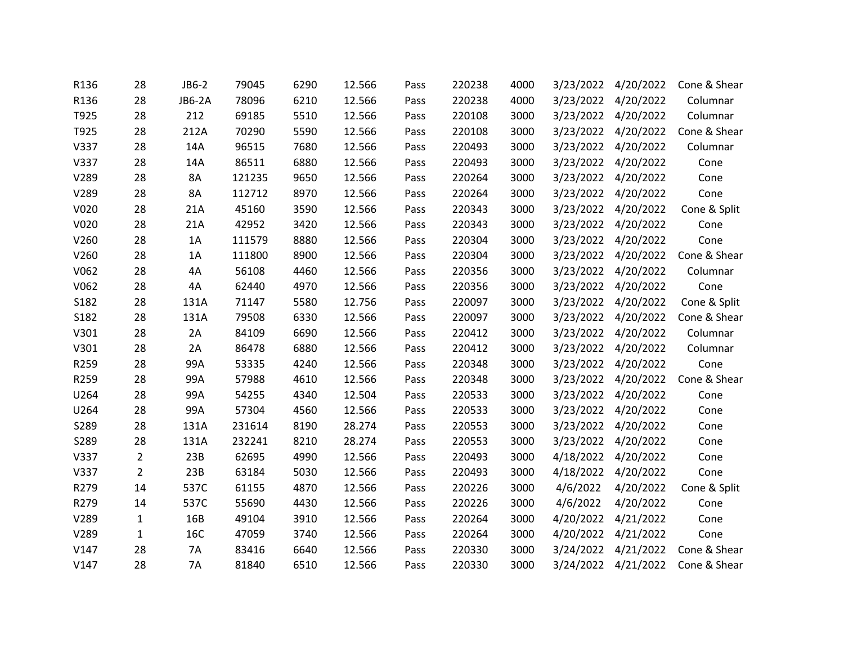| R136 | 28             | JB6-2     | 79045  | 6290 | 12.566 | Pass | 220238 | 4000 | 3/23/2022 | 4/20/2022           | Cone & Shear |
|------|----------------|-----------|--------|------|--------|------|--------|------|-----------|---------------------|--------------|
| R136 | 28             | JB6-2A    | 78096  | 6210 | 12.566 | Pass | 220238 | 4000 | 3/23/2022 | 4/20/2022           | Columnar     |
| T925 | 28             | 212       | 69185  | 5510 | 12.566 | Pass | 220108 | 3000 |           | 3/23/2022 4/20/2022 | Columnar     |
| T925 | 28             | 212A      | 70290  | 5590 | 12.566 | Pass | 220108 | 3000 | 3/23/2022 | 4/20/2022           | Cone & Shear |
| V337 | 28             | 14A       | 96515  | 7680 | 12.566 | Pass | 220493 | 3000 | 3/23/2022 | 4/20/2022           | Columnar     |
| V337 | 28             | 14A       | 86511  | 6880 | 12.566 | Pass | 220493 | 3000 | 3/23/2022 | 4/20/2022           | Cone         |
| V289 | 28             | 8A        | 121235 | 9650 | 12.566 | Pass | 220264 | 3000 | 3/23/2022 | 4/20/2022           | Cone         |
| V289 | 28             | 8A        | 112712 | 8970 | 12.566 | Pass | 220264 | 3000 |           | 3/23/2022 4/20/2022 | Cone         |
| V020 | 28             | 21A       | 45160  | 3590 | 12.566 | Pass | 220343 | 3000 | 3/23/2022 | 4/20/2022           | Cone & Split |
| V020 | 28             | 21A       | 42952  | 3420 | 12.566 | Pass | 220343 | 3000 | 3/23/2022 | 4/20/2022           | Cone         |
| V260 | 28             | 1A        | 111579 | 8880 | 12.566 | Pass | 220304 | 3000 | 3/23/2022 | 4/20/2022           | Cone         |
| V260 | 28             | 1A        | 111800 | 8900 | 12.566 | Pass | 220304 | 3000 | 3/23/2022 | 4/20/2022           | Cone & Shear |
| V062 | 28             | 4A        | 56108  | 4460 | 12.566 | Pass | 220356 | 3000 | 3/23/2022 | 4/20/2022           | Columnar     |
| V062 | 28             | 4A        | 62440  | 4970 | 12.566 | Pass | 220356 | 3000 |           | 3/23/2022 4/20/2022 | Cone         |
| S182 | 28             | 131A      | 71147  | 5580 | 12.756 | Pass | 220097 | 3000 | 3/23/2022 | 4/20/2022           | Cone & Split |
| S182 | 28             | 131A      | 79508  | 6330 | 12.566 | Pass | 220097 | 3000 | 3/23/2022 | 4/20/2022           | Cone & Shear |
| V301 | 28             | 2A        | 84109  | 6690 | 12.566 | Pass | 220412 | 3000 | 3/23/2022 | 4/20/2022           | Columnar     |
| V301 | 28             | 2A        | 86478  | 6880 | 12.566 | Pass | 220412 | 3000 | 3/23/2022 | 4/20/2022           | Columnar     |
| R259 | 28             | 99A       | 53335  | 4240 | 12.566 | Pass | 220348 | 3000 | 3/23/2022 | 4/20/2022           | Cone         |
| R259 | 28             | 99A       | 57988  | 4610 | 12.566 | Pass | 220348 | 3000 |           | 3/23/2022 4/20/2022 | Cone & Shear |
| U264 | 28             | 99A       | 54255  | 4340 | 12.504 | Pass | 220533 | 3000 | 3/23/2022 | 4/20/2022           | Cone         |
| U264 | 28             | 99A       | 57304  | 4560 | 12.566 | Pass | 220533 | 3000 | 3/23/2022 | 4/20/2022           | Cone         |
| S289 | 28             | 131A      | 231614 | 8190 | 28.274 | Pass | 220553 | 3000 | 3/23/2022 | 4/20/2022           | Cone         |
| S289 | 28             | 131A      | 232241 | 8210 | 28.274 | Pass | 220553 | 3000 | 3/23/2022 | 4/20/2022           | Cone         |
| V337 | $\overline{2}$ | 23B       | 62695  | 4990 | 12.566 | Pass | 220493 | 3000 | 4/18/2022 | 4/20/2022           | Cone         |
| V337 | $\overline{2}$ | 23B       | 63184  | 5030 | 12.566 | Pass | 220493 | 3000 |           | 4/18/2022 4/20/2022 | Cone         |
| R279 | 14             | 537C      | 61155  | 4870 | 12.566 | Pass | 220226 | 3000 | 4/6/2022  | 4/20/2022           | Cone & Split |
| R279 | 14             | 537C      | 55690  | 4430 | 12.566 | Pass | 220226 | 3000 | 4/6/2022  | 4/20/2022           | Cone         |
| V289 | $\mathbf{1}$   | 16B       | 49104  | 3910 | 12.566 | Pass | 220264 | 3000 | 4/20/2022 | 4/21/2022           | Cone         |
| V289 | $\mathbf{1}$   | 16C       | 47059  | 3740 | 12.566 | Pass | 220264 | 3000 | 4/20/2022 | 4/21/2022           | Cone         |
| V147 | 28             | 7A        | 83416  | 6640 | 12.566 | Pass | 220330 | 3000 | 3/24/2022 | 4/21/2022           | Cone & Shear |
| V147 | 28             | <b>7A</b> | 81840  | 6510 | 12.566 | Pass | 220330 | 3000 | 3/24/2022 | 4/21/2022           | Cone & Shear |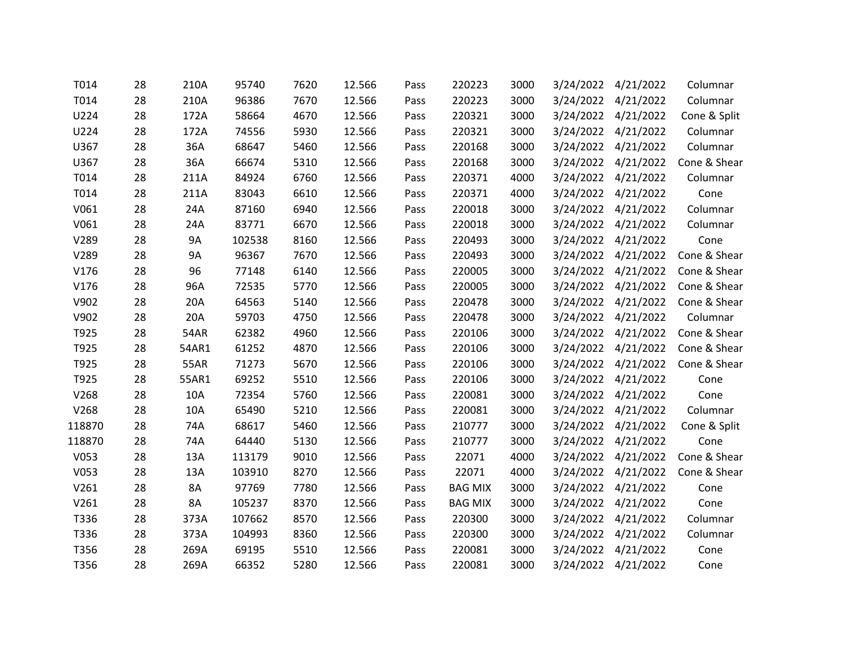| T014   | 28 | 210A        | 95740  | 7620 | 12.566 | Pass | 220223         | 3000 | 3/24/2022 | 4/21/2022           | Columnar     |
|--------|----|-------------|--------|------|--------|------|----------------|------|-----------|---------------------|--------------|
| T014   | 28 | 210A        | 96386  | 7670 | 12.566 | Pass | 220223         | 3000 | 3/24/2022 | 4/21/2022           | Columnar     |
| U224   | 28 | 172A        | 58664  | 4670 | 12.566 | Pass | 220321         | 3000 |           | 3/24/2022 4/21/2022 | Cone & Split |
| U224   | 28 | 172A        | 74556  | 5930 | 12.566 | Pass | 220321         | 3000 | 3/24/2022 | 4/21/2022           | Columnar     |
| U367   | 28 | 36A         | 68647  | 5460 | 12.566 | Pass | 220168         | 3000 | 3/24/2022 | 4/21/2022           | Columnar     |
| U367   | 28 | 36A         | 66674  | 5310 | 12.566 | Pass | 220168         | 3000 |           | 3/24/2022 4/21/2022 | Cone & Shear |
| T014   | 28 | 211A        | 84924  | 6760 | 12.566 | Pass | 220371         | 4000 | 3/24/2022 | 4/21/2022           | Columnar     |
| T014   | 28 | 211A        | 83043  | 6610 | 12.566 | Pass | 220371         | 4000 |           | 3/24/2022 4/21/2022 | Cone         |
| V061   | 28 | 24A         | 87160  | 6940 | 12.566 | Pass | 220018         | 3000 |           | 3/24/2022 4/21/2022 | Columnar     |
| V061   | 28 | 24A         | 83771  | 6670 | 12.566 | Pass | 220018         | 3000 | 3/24/2022 | 4/21/2022           | Columnar     |
| V289   | 28 | 9A          | 102538 | 8160 | 12.566 | Pass | 220493         | 3000 |           | 3/24/2022 4/21/2022 | Cone         |
| V289   | 28 | <b>9A</b>   | 96367  | 7670 | 12.566 | Pass | 220493         | 3000 |           | 3/24/2022 4/21/2022 | Cone & Shear |
| V176   | 28 | 96          | 77148  | 6140 | 12.566 | Pass | 220005         | 3000 | 3/24/2022 | 4/21/2022           | Cone & Shear |
| V176   | 28 | 96A         | 72535  | 5770 | 12.566 | Pass | 220005         | 3000 |           | 3/24/2022 4/21/2022 | Cone & Shear |
| V902   | 28 | 20A         | 64563  | 5140 | 12.566 | Pass | 220478         | 3000 |           | 3/24/2022 4/21/2022 | Cone & Shear |
| V902   | 28 | 20A         | 59703  | 4750 | 12.566 | Pass | 220478         | 3000 | 3/24/2022 | 4/21/2022           | Columnar     |
| T925   | 28 | <b>54AR</b> | 62382  | 4960 | 12.566 | Pass | 220106         | 3000 | 3/24/2022 | 4/21/2022           | Cone & Shear |
| T925   | 28 | 54AR1       | 61252  | 4870 | 12.566 | Pass | 220106         | 3000 |           | 3/24/2022 4/21/2022 | Cone & Shear |
| T925   | 28 | <b>55AR</b> | 71273  | 5670 | 12.566 | Pass | 220106         | 3000 | 3/24/2022 | 4/21/2022           | Cone & Shear |
| T925   | 28 | 55AR1       | 69252  | 5510 | 12.566 | Pass | 220106         | 3000 |           | 3/24/2022 4/21/2022 | Cone         |
| V268   | 28 | 10A         | 72354  | 5760 | 12.566 | Pass | 220081         | 3000 |           | 3/24/2022 4/21/2022 | Cone         |
| V268   | 28 | 10A         | 65490  | 5210 | 12.566 | Pass | 220081         | 3000 | 3/24/2022 | 4/21/2022           | Columnar     |
| 118870 | 28 | 74A         | 68617  | 5460 | 12.566 | Pass | 210777         | 3000 |           | 3/24/2022 4/21/2022 | Cone & Split |
| 118870 | 28 | 74A         | 64440  | 5130 | 12.566 | Pass | 210777         | 3000 | 3/24/2022 | 4/21/2022           | Cone         |
| V053   | 28 | 13A         | 113179 | 9010 | 12.566 | Pass | 22071          | 4000 | 3/24/2022 | 4/21/2022           | Cone & Shear |
| V053   | 28 | 13A         | 103910 | 8270 | 12.566 | Pass | 22071          | 4000 |           | 3/24/2022 4/21/2022 | Cone & Shear |
| V261   | 28 | 8A          | 97769  | 7780 | 12.566 | Pass | <b>BAG MIX</b> | 3000 | 3/24/2022 | 4/21/2022           | Cone         |
| V261   | 28 | <b>8A</b>   | 105237 | 8370 | 12.566 | Pass | <b>BAG MIX</b> | 3000 | 3/24/2022 | 4/21/2022           | Cone         |
| T336   | 28 | 373A        | 107662 | 8570 | 12.566 | Pass | 220300         | 3000 |           | 3/24/2022 4/21/2022 | Columnar     |
| T336   | 28 | 373A        | 104993 | 8360 | 12.566 | Pass | 220300         | 3000 | 3/24/2022 | 4/21/2022           | Columnar     |
| T356   | 28 | 269A        | 69195  | 5510 | 12.566 | Pass | 220081         | 3000 | 3/24/2022 | 4/21/2022           | Cone         |
| T356   | 28 | 269A        | 66352  | 5280 | 12.566 | Pass | 220081         | 3000 |           | 3/24/2022 4/21/2022 | Cone         |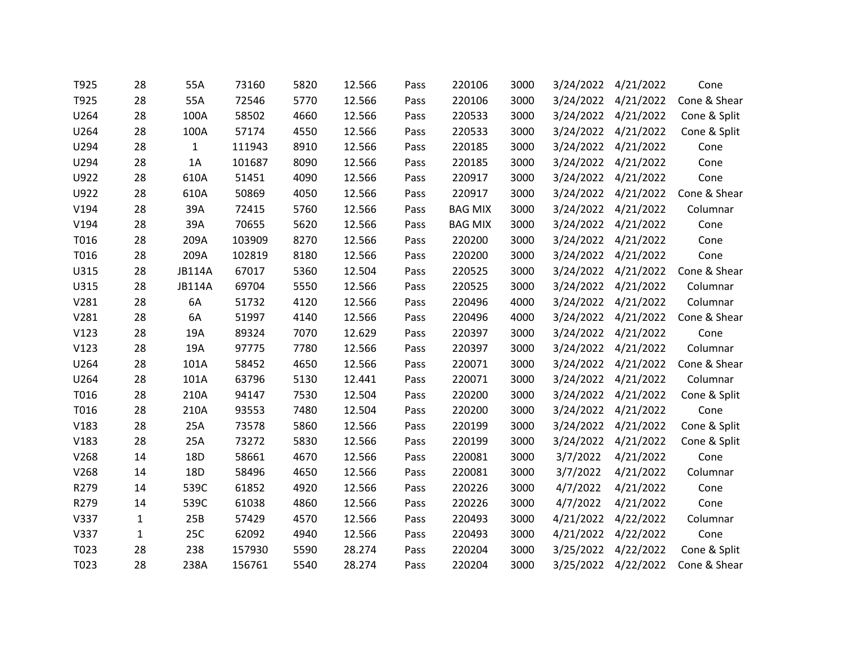| T925 | 28           | 55A           | 73160  | 5820 | 12.566 | Pass | 220106         | 3000 | 3/24/2022 | 4/21/2022           | Cone         |
|------|--------------|---------------|--------|------|--------|------|----------------|------|-----------|---------------------|--------------|
| T925 | 28           | 55A           | 72546  | 5770 | 12.566 | Pass | 220106         | 3000 | 3/24/2022 | 4/21/2022           | Cone & Shear |
| U264 | 28           | 100A          | 58502  | 4660 | 12.566 | Pass | 220533         | 3000 |           | 3/24/2022 4/21/2022 | Cone & Split |
| U264 | 28           | 100A          | 57174  | 4550 | 12.566 | Pass | 220533         | 3000 | 3/24/2022 | 4/21/2022           | Cone & Split |
| U294 | 28           | $\mathbf{1}$  | 111943 | 8910 | 12.566 | Pass | 220185         | 3000 | 3/24/2022 | 4/21/2022           | Cone         |
| U294 | 28           | 1A            | 101687 | 8090 | 12.566 | Pass | 220185         | 3000 | 3/24/2022 | 4/21/2022           | Cone         |
| U922 | 28           | 610A          | 51451  | 4090 | 12.566 | Pass | 220917         | 3000 | 3/24/2022 | 4/21/2022           | Cone         |
| U922 | 28           | 610A          | 50869  | 4050 | 12.566 | Pass | 220917         | 3000 |           | 3/24/2022 4/21/2022 | Cone & Shear |
| V194 | 28           | 39A           | 72415  | 5760 | 12.566 | Pass | <b>BAG MIX</b> | 3000 | 3/24/2022 | 4/21/2022           | Columnar     |
| V194 | 28           | 39A           | 70655  | 5620 | 12.566 | Pass | <b>BAG MIX</b> | 3000 | 3/24/2022 | 4/21/2022           | Cone         |
| T016 | 28           | 209A          | 103909 | 8270 | 12.566 | Pass | 220200         | 3000 | 3/24/2022 | 4/21/2022           | Cone         |
| T016 | 28           | 209A          | 102819 | 8180 | 12.566 | Pass | 220200         | 3000 | 3/24/2022 | 4/21/2022           | Cone         |
| U315 | 28           | <b>JB114A</b> | 67017  | 5360 | 12.504 | Pass | 220525         | 3000 | 3/24/2022 | 4/21/2022           | Cone & Shear |
| U315 | 28           | <b>JB114A</b> | 69704  | 5550 | 12.566 | Pass | 220525         | 3000 | 3/24/2022 | 4/21/2022           | Columnar     |
| V281 | 28           | 6A            | 51732  | 4120 | 12.566 | Pass | 220496         | 4000 | 3/24/2022 | 4/21/2022           | Columnar     |
| V281 | 28           | 6A            | 51997  | 4140 | 12.566 | Pass | 220496         | 4000 | 3/24/2022 | 4/21/2022           | Cone & Shear |
| V123 | 28           | 19A           | 89324  | 7070 | 12.629 | Pass | 220397         | 3000 | 3/24/2022 | 4/21/2022           | Cone         |
| V123 | 28           | 19A           | 97775  | 7780 | 12.566 | Pass | 220397         | 3000 | 3/24/2022 | 4/21/2022           | Columnar     |
| U264 | 28           | 101A          | 58452  | 4650 | 12.566 | Pass | 220071         | 3000 | 3/24/2022 | 4/21/2022           | Cone & Shear |
| U264 | 28           | 101A          | 63796  | 5130 | 12.441 | Pass | 220071         | 3000 |           | 3/24/2022 4/21/2022 | Columnar     |
| T016 | 28           | 210A          | 94147  | 7530 | 12.504 | Pass | 220200         | 3000 | 3/24/2022 | 4/21/2022           | Cone & Split |
| T016 | 28           | 210A          | 93553  | 7480 | 12.504 | Pass | 220200         | 3000 | 3/24/2022 | 4/21/2022           | Cone         |
| V183 | 28           | 25A           | 73578  | 5860 | 12.566 | Pass | 220199         | 3000 |           | 3/24/2022 4/21/2022 | Cone & Split |
| V183 | 28           | 25A           | 73272  | 5830 | 12.566 | Pass | 220199         | 3000 | 3/24/2022 | 4/21/2022           | Cone & Split |
| V268 | 14           | 18D           | 58661  | 4670 | 12.566 | Pass | 220081         | 3000 | 3/7/2022  | 4/21/2022           | Cone         |
| V268 | 14           | 18D           | 58496  | 4650 | 12.566 | Pass | 220081         | 3000 | 3/7/2022  | 4/21/2022           | Columnar     |
| R279 | 14           | 539C          | 61852  | 4920 | 12.566 | Pass | 220226         | 3000 | 4/7/2022  | 4/21/2022           | Cone         |
| R279 | 14           | 539C          | 61038  | 4860 | 12.566 | Pass | 220226         | 3000 | 4/7/2022  | 4/21/2022           | Cone         |
| V337 | $\mathbf{1}$ | 25B           | 57429  | 4570 | 12.566 | Pass | 220493         | 3000 | 4/21/2022 | 4/22/2022           | Columnar     |
| V337 | $\mathbf{1}$ | 25C           | 62092  | 4940 | 12.566 | Pass | 220493         | 3000 | 4/21/2022 | 4/22/2022           | Cone         |
| T023 | 28           | 238           | 157930 | 5590 | 28.274 | Pass | 220204         | 3000 | 3/25/2022 | 4/22/2022           | Cone & Split |
| T023 | 28           | 238A          | 156761 | 5540 | 28.274 | Pass | 220204         | 3000 | 3/25/2022 | 4/22/2022           | Cone & Shear |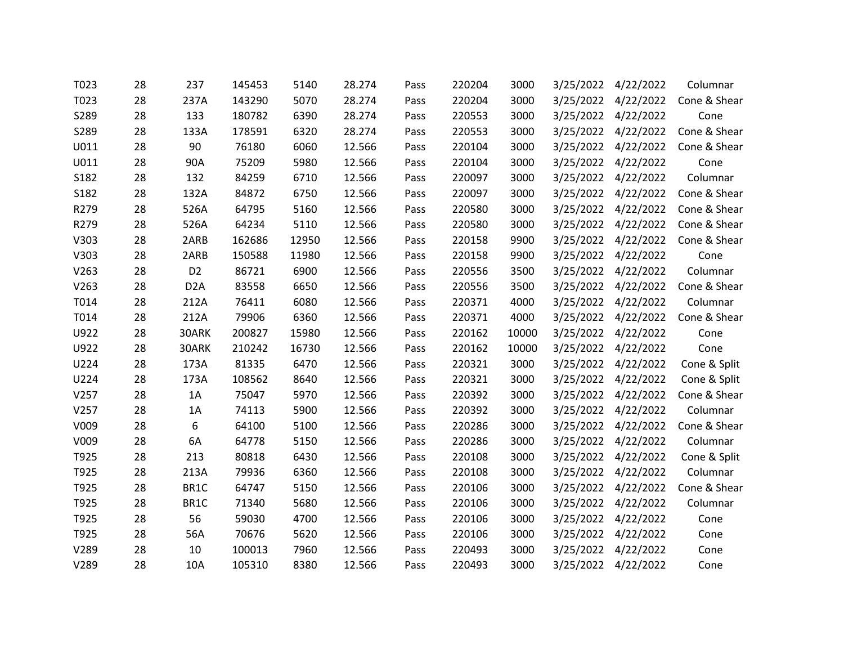| T023 | 28 | 237              | 145453 | 5140  | 28.274 | Pass | 220204 | 3000  | 3/25/2022 | 4/22/2022           | Columnar     |
|------|----|------------------|--------|-------|--------|------|--------|-------|-----------|---------------------|--------------|
| T023 | 28 | 237A             | 143290 | 5070  | 28.274 | Pass | 220204 | 3000  | 3/25/2022 | 4/22/2022           | Cone & Shear |
| S289 | 28 | 133              | 180782 | 6390  | 28.274 | Pass | 220553 | 3000  |           | 3/25/2022 4/22/2022 | Cone         |
| S289 | 28 | 133A             | 178591 | 6320  | 28.274 | Pass | 220553 | 3000  | 3/25/2022 | 4/22/2022           | Cone & Shear |
| U011 | 28 | 90               | 76180  | 6060  | 12.566 | Pass | 220104 | 3000  | 3/25/2022 | 4/22/2022           | Cone & Shear |
| U011 | 28 | 90A              | 75209  | 5980  | 12.566 | Pass | 220104 | 3000  |           | 3/25/2022 4/22/2022 | Cone         |
| S182 | 28 | 132              | 84259  | 6710  | 12.566 | Pass | 220097 | 3000  | 3/25/2022 | 4/22/2022           | Columnar     |
| S182 | 28 | 132A             | 84872  | 6750  | 12.566 | Pass | 220097 | 3000  | 3/25/2022 | 4/22/2022           | Cone & Shear |
| R279 | 28 | 526A             | 64795  | 5160  | 12.566 | Pass | 220580 | 3000  |           | 3/25/2022 4/22/2022 | Cone & Shear |
| R279 | 28 | 526A             | 64234  | 5110  | 12.566 | Pass | 220580 | 3000  | 3/25/2022 | 4/22/2022           | Cone & Shear |
| V303 | 28 | 2ARB             | 162686 | 12950 | 12.566 | Pass | 220158 | 9900  | 3/25/2022 | 4/22/2022           | Cone & Shear |
| V303 | 28 | 2ARB             | 150588 | 11980 | 12.566 | Pass | 220158 | 9900  | 3/25/2022 | 4/22/2022           | Cone         |
| V263 | 28 | D <sub>2</sub>   | 86721  | 6900  | 12.566 | Pass | 220556 | 3500  | 3/25/2022 | 4/22/2022           | Columnar     |
| V263 | 28 | D <sub>2</sub> A | 83558  | 6650  | 12.566 | Pass | 220556 | 3500  |           | 3/25/2022 4/22/2022 | Cone & Shear |
| T014 | 28 | 212A             | 76411  | 6080  | 12.566 | Pass | 220371 | 4000  | 3/25/2022 | 4/22/2022           | Columnar     |
| T014 | 28 | 212A             | 79906  | 6360  | 12.566 | Pass | 220371 | 4000  | 3/25/2022 | 4/22/2022           | Cone & Shear |
| U922 | 28 | 30ARK            | 200827 | 15980 | 12.566 | Pass | 220162 | 10000 | 3/25/2022 | 4/22/2022           | Cone         |
| U922 | 28 | 30ARK            | 210242 | 16730 | 12.566 | Pass | 220162 | 10000 | 3/25/2022 | 4/22/2022           | Cone         |
| U224 | 28 | 173A             | 81335  | 6470  | 12.566 | Pass | 220321 | 3000  | 3/25/2022 | 4/22/2022           | Cone & Split |
| U224 | 28 | 173A             | 108562 | 8640  | 12.566 | Pass | 220321 | 3000  |           | 3/25/2022 4/22/2022 | Cone & Split |
| V257 | 28 | 1A               | 75047  | 5970  | 12.566 | Pass | 220392 | 3000  | 3/25/2022 | 4/22/2022           | Cone & Shear |
| V257 | 28 | 1A               | 74113  | 5900  | 12.566 | Pass | 220392 | 3000  | 3/25/2022 | 4/22/2022           | Columnar     |
| V009 | 28 | 6                | 64100  | 5100  | 12.566 | Pass | 220286 | 3000  |           | 3/25/2022 4/22/2022 | Cone & Shear |
| V009 | 28 | 6A               | 64778  | 5150  | 12.566 | Pass | 220286 | 3000  | 3/25/2022 | 4/22/2022           | Columnar     |
| T925 | 28 | 213              | 80818  | 6430  | 12.566 | Pass | 220108 | 3000  | 3/25/2022 | 4/22/2022           | Cone & Split |
| T925 | 28 | 213A             | 79936  | 6360  | 12.566 | Pass | 220108 | 3000  |           | 3/25/2022 4/22/2022 | Columnar     |
| T925 | 28 | BR1C             | 64747  | 5150  | 12.566 | Pass | 220106 | 3000  | 3/25/2022 | 4/22/2022           | Cone & Shear |
| T925 | 28 | BR1C             | 71340  | 5680  | 12.566 | Pass | 220106 | 3000  | 3/25/2022 | 4/22/2022           | Columnar     |
| T925 | 28 | 56               | 59030  | 4700  | 12.566 | Pass | 220106 | 3000  |           | 3/25/2022 4/22/2022 | Cone         |
| T925 | 28 | 56A              | 70676  | 5620  | 12.566 | Pass | 220106 | 3000  | 3/25/2022 | 4/22/2022           | Cone         |
| V289 | 28 | 10               | 100013 | 7960  | 12.566 | Pass | 220493 | 3000  | 3/25/2022 | 4/22/2022           | Cone         |
| V289 | 28 | 10A              | 105310 | 8380  | 12.566 | Pass | 220493 | 3000  | 3/25/2022 | 4/22/2022           | Cone         |